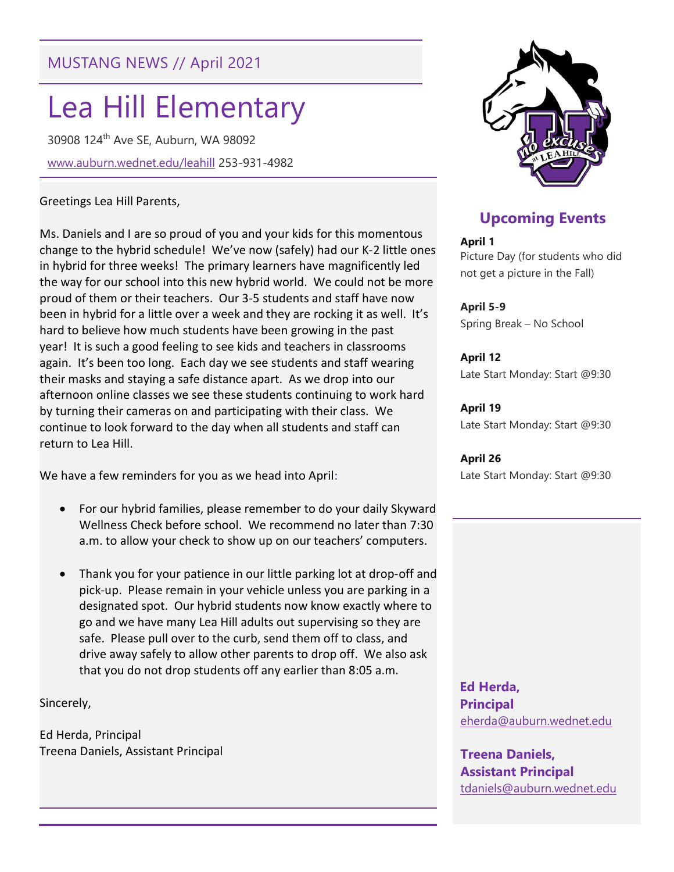# MUSTANG NEWS // April 2021

# Lea Hill Elementary

30908 124th Ave SE, Auburn, WA 98092 www.auburn.wednet.edu/leahill 253-931-4982

### Greetings Lea Hill Parents,

Ms. Daniels and I are so proud of you and your kids for this momentous change to the hybrid schedule! We've now (safely) had our K-2 little ones in hybrid for three weeks! The primary learners have magnificently led the way for our school into this new hybrid world. We could not be more proud of them or their teachers. Our 3-5 students and staff have now been in hybrid for a little over a week and they are rocking it as well. It's hard to believe how much students have been growing in the past year! It is such a good feeling to see kids and teachers in classrooms again. It's been too long. Each day we see students and staff wearing their masks and staying a safe distance apart. As we drop into our afternoon online classes we see these students continuing to work hard by turning their cameras on and participating with their class. We continue to look forward to the day when all students and staff can return to Lea Hill.

We have a few reminders for you as we head into April:

- For our hybrid families, please remember to do your daily Skyward Wellness Check before school. We recommend no later than 7:30 a.m. to allow your check to show up on our teachers' computers.
- Thank you for your patience in our little parking lot at drop-off and pick-up. Please remain in your vehicle unless you are parking in a designated spot. Our hybrid students now know exactly where to go and we have many Lea Hill adults out supervising so they are safe. Please pull over to the curb, send them off to class, and drive away safely to allow other parents to drop off. We also ask that you do not drop students off any earlier than 8:05 a.m.

Sincerely,

Ed Herda, Principal Treena Daniels, Assistant Principal



## Upcoming Events

#### April 1

Picture Day (for students who did not get a picture in the Fall)

April 5-9

Spring Break – No School

April 12

Late Start Monday: Start @9:30

April 19 Late Start Monday: Start @9:30

## April 26

Late Start Monday: Start @9:30

 Ed Herda, **Principal** eherda@auburn.wednet.edu

Treena Daniels, Assistant Principal tdaniels@auburn.wednet.edu